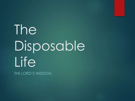# The Disposable Life

THE LORD'S WISDOM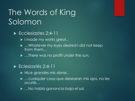# The Words of King Solomon

#### Ecclesiastes 2:4-11

- I made my works great..
- …Whatever my eyes desired I did not keep from them…
- ▶ …There was no profit under the sun.

#### Eclesiastés 2:4-11

- Hice grandes mis obras..
- …cualquier cosa que desearan mis ojos, no les oculté…
- …No había ganancia bajo el sol.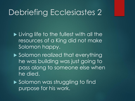### Debriefing Ecclesiastes 2

**Living life to the fullest with all the** resources of a King did not make Solomon happy.

▶ Solomon realized that everything he was building was just going to pass along to someone else when he died.

▶ Solomon was struggling to find purpose for his work.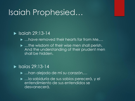### Isaiah Prophesied…

#### $\blacktriangleright$  Isaiah 29:13-14

- ▶ …have removed their hearts far from Me,...
- ▶ …the wisdom of their wise men shall perish, And the understanding of their prudent men shall be hidden.

#### $\blacktriangleright$  Isaías 29:13-14

- …han alejado de mí su corazón,…
- …la sabiduría de sus sabios perecerá, y el entendimiento de sus entendidos se desvanecerá.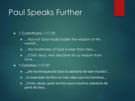### Paul Speaks Further

#### ▶ 1 Corinthians 1:17-31

- ▶ …Has not God made foolish the wisdom of this world?...
- …the foolishness of God is wiser than men,…
- ▶ …Christ Jesus, who became for us wisdom from God…

#### $\blacktriangleright$  1 Corintios 1:17-31

- …¿No ha enloquecido Dios la sabiduría de este mundo?...
- …lo insensato de Dios es más sabio que los hombres,…
- …Cristo Jesús, quien se hizo para nosotros sabiduría de parte de Dios…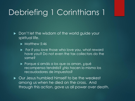# Debriefing 1 Corinthians 1

Don't let the wisdom of the world guide your spiritual life.

- $\blacktriangleright$  Matthew 5:46
- For if you love those who love you, what reward have you? Do not even the tax collectors do the same?
- ▶ Porque si amáis a los que os aman, ¿qué recompensa tendréis? ¿No hacen lo mismo los recaudadores de impuestos?
- ▶ Our Jesus humbled himself to be the weakest among us when he died on the cross. And through this action, gave us all power over death.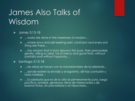# James Also Talks of Wisdom

#### • James 3:13-18

- ▶ …works are done in the meekness of wisdom…
- ▶ …where envy and self-seeking exist, confusion and every evil thing are there…
- ► …the wisdom that is from above is first pure, then peaceable, gentle, willing to yield, full of mercy and good fruits, without partiality and without hypocrisy…

#### $\blacktriangleright$  Santiago 3:13-18

- …las obras se hacen con la mansedumbre de la sabiduría…
- …donde existen la envidia y el egoísmo, allí hay confusión y toda maldad…
- ► …la sabiduría que es de lo alto es primeramente pura, luego pacífica, amable, generosa, llena de misericordia y de buenos frutos, sin parcialidad y sin hipocresía…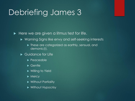### Debriefing James 3

 $\blacktriangleright$  Here we are given a litmus test for life.

- ▶ Warning Signs like envy and self-seeking interests
	- ▶ These are categorized as earthly, sensual, and demonic(!).
- ▶ Guidance for Life
	- $\blacktriangleright$  Peaceable
	- ▶ Gentle
	- ▶ Willing to Yield
	- $\blacktriangleright$  Mercy
	- ▶ Without Partiality
	- **Without Hypocrisy**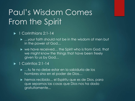# Paul's Wisdom Comes From the Spirit

#### ▶ 1 Corinthians 2:1-14

- ▶ …your faith should not be in the wisdom of men but in the power of God…
- ▶ we have received... the Spirit who is from God, that we might know the things that have been freely given to us by God…

#### 1 Corintios 2:1-14

- ► …tu fe no debe estar en la sabiduría de los hombres sino en el poder de Dios…
- hemos recibido... el Espíritu que es de Dios, para que sepamos las cosas que Dios nos ha dado gratuitamente...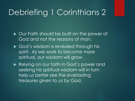### Debriefing 1 Corinthians 2

- ▶ Our Faith should be built on the power of God and not the reasons of man.
- God's wisdom is revealed through his spirit. As we work to become more spiritual, our wisdom will grow.
- Relying on our faith in God's power and seeking his spiritual wisdom will in turn help us better see the everlasting treasures given to us by God.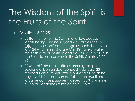# The Wisdom of the Spirit is the Fruits of the Spirit

#### $\blacktriangleright$  Galatians 5:22-25

- ▶ 22 But the fruit of the Spirit is love, joy, peace, longsuffering, kindness, goodness, faithfulness, 23 [g]gentleness, self-control. Against such there is no law. 24 And those who are Christ's have crucified the flesh with its passions and desires. 25 If we live in the Spirit, let us also walk in the Spirit. Gálatas 5:22- 26
- ▶ 22 Mas el fruto del Espíritu es amor, gozo, paz, paciencia, benignidad, bondad, fidelidad, 23 mansedumbre, templanza. Contra tales cosas no hay ley. 24 Y los que son de Cristo han crucificado la carne con sus pasiones y deseos. 25 Si vivimos en el Espíritu, andemos también en el Espíritu.